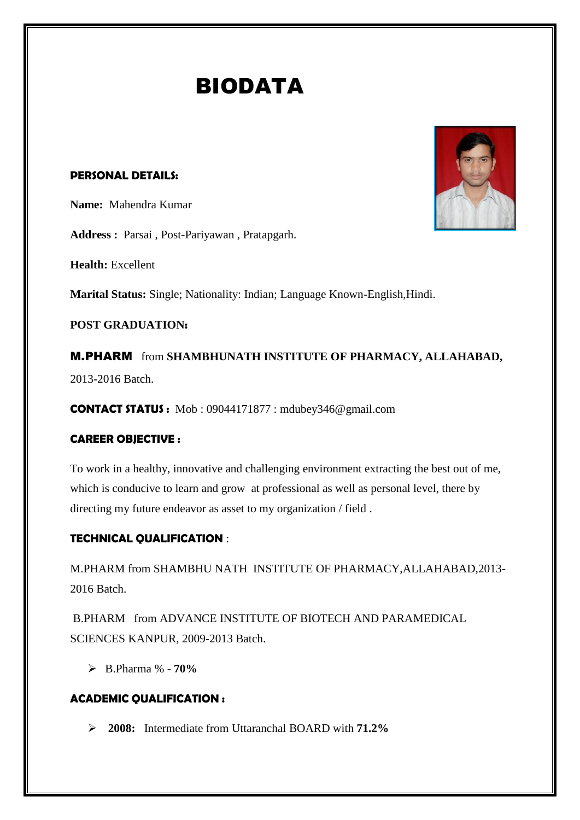# BIODATA

## **PERSONAL DETAILS:**

**Name:** Mahendra Kumar

**Address :** Parsai , Post-Pariyawan , Pratapgarh.

**Health:** Excellent

**Marital Status:** Single; Nationality: Indian; Language Known-English,Hindi.

**POST GRADUATION:**

M.PHARM from **SHAMBHUNATH INSTITUTE OF PHARMACY, ALLAHABAD,** 2013-2016 Batch.

**CONTACT STATUS :** Mob : 09044171877 : mdubey346@gmail.com

## **CAREER OBJECTIVE :**

To work in a healthy, innovative and challenging environment extracting the best out of me, which is conducive to learn and grow at professional as well as personal level, there by directing my future endeavor as asset to my organization / field .

# **TECHNICAL QUALIFICATION** :

M.PHARM from SHAMBHU NATH INSTITUTE OF PHARMACY,ALLAHABAD,2013- 2016 Batch.

B.PHARM from ADVANCE INSTITUTE OF BIOTECH AND PARAMEDICAL SCIENCES KANPUR, 2009-2013 Batch.

B.Pharma % - **70%**

# **ACADEMIC QUALIFICATION :**

**2008:** Intermediate from Uttaranchal BOARD with **71.2%**

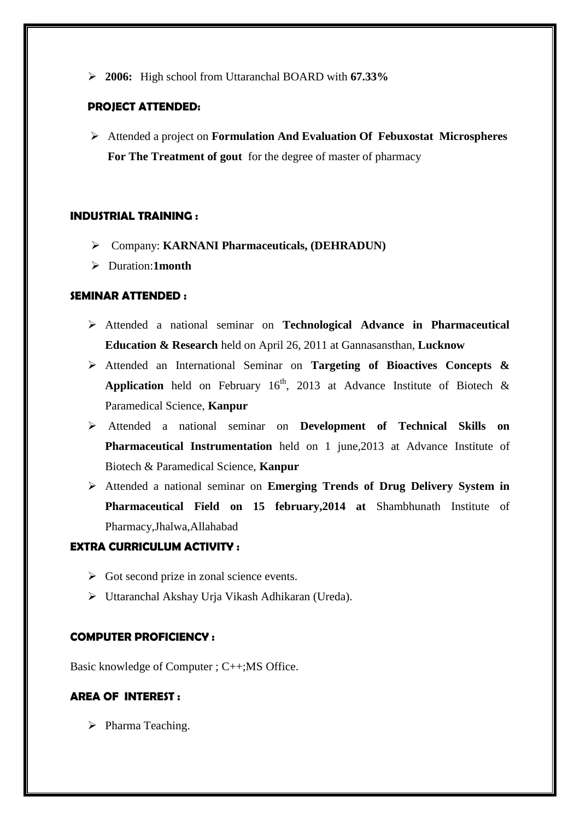**2006:** High school from Uttaranchal BOARD with **67.33%**

#### **PROJECT ATTENDED:**

 Attended a project on **Formulation And Evaluation Of Febuxostat Microspheres For The Treatment of gout** for the degree of master of pharmacy

#### **INDUSTRIAL TRAINING :**

- Company: **KARNANI Pharmaceuticals, (DEHRADUN)**
- Duration:**1month**

## **SEMINAR ATTENDED :**

- Attended a national seminar on **Technological Advance in Pharmaceutical Education & Research** held on April 26, 2011 at Gannasansthan, **Lucknow**
- Attended an International Seminar on **Targeting of Bioactives Concepts & Application** held on February  $16<sup>th</sup>$ , 2013 at Advance Institute of Biotech & Paramedical Science, **Kanpur**
- Attended a national seminar on **Development of Technical Skills on Pharmaceutical Instrumentation** held on 1 june,2013 at Advance Institute of Biotech & Paramedical Science, **Kanpur**
- Attended a national seminar on **Emerging Trends of Drug Delivery System in Pharmaceutical Field on 15 february,2014 at** Shambhunath Institute of Pharmacy,Jhalwa,Allahabad

#### **EXTRA CURRICULUM ACTIVITY :**

- $\triangleright$  Got second prize in zonal science events.
- Uttaranchal Akshay Urja Vikash Adhikaran (Ureda).

#### **COMPUTER PROFICIENCY :**

Basic knowledge of Computer ; C++;MS Office.

## **AREA OF INTEREST :**

 $\triangleright$  Pharma Teaching.